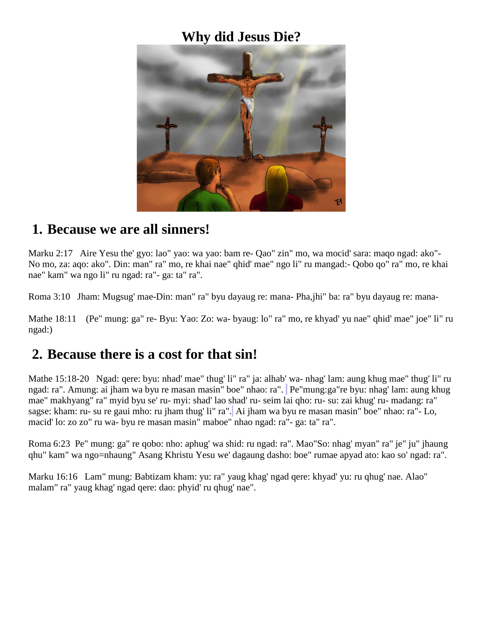#### **Why did Jesus Die?**



#### **1. Because we are all sinners!**

Marku 2:17 Aire Yesu the' gyo: lao" yao: wa yao: bam re- Qao" zin" mo, wa mocid' sara: maqo ngad: ako"- No mo, za: aqo: ako". Din: man" ra" mo, re khai nae" qhid' mae" ngo li" ru mangad:- Qobo qo" ra" mo, re khai nae" kam" wa ngo li" ru ngad: ra"- ga: ta" ra".

Roma 3:10 Jham: Mugsug' mae-Din: man" ra" byu dayaug re: mana- Pha,jhi" ba: ra" byu dayaug re: mana-

Mathe 18:11 (Pe" mung: ga" re- Byu: Yao: Zo: wa- byaug: lo" ra" mo, re khyad' yu nae" qhid' mae" joe" li" ru ngad:)

#### **2. Because there is a cost for that sin!**

Mathe 15:18-20 Ngad: qere: byu: nhad' mae" thug' li" ra" ja: alhab' wa- nhag' lam: aung khug mae" thug' li" ru ngad: ra". Amung: ai jham wa byu re masan masin" boe" nhao: ra". Pe"mung:ga"re byu: nhag' lam: aung khug mae" makhyang" ra" myid byu se' ru- myi: shad' lao shad' ru- seim lai qho: ru- su: zai khug' ru- madang: ra" sagse: kham: ru- su re gaui mho: ru jham thug' li" ra". Ai jham wa byu re masan masin" boe" nhao: ra"- Lo, macid' lo: zo zo" ru wa- byu re masan masin" maboe" nhao ngad: ra"- ga: ta" ra".

Roma 6:23 Pe" mung: ga" re qobo: nho: aphug' wa shid: ru ngad: ra". Mao"So: nhag' myan" ra" je" ju" jhaung qhu" kam" wa ngo=nhaung" Asang Khristu Yesu we' dagaung dasho: boe" rumae apyad ato: kao so' ngad: ra".

Marku 16:16 Lam" mung: Babtizam kham: yu: ra" yaug khag' ngad qere: khyad' yu: ru qhug' nae. Alao" malam" ra" yaug khag' ngad qere: dao: phyid' ru qhug' nae".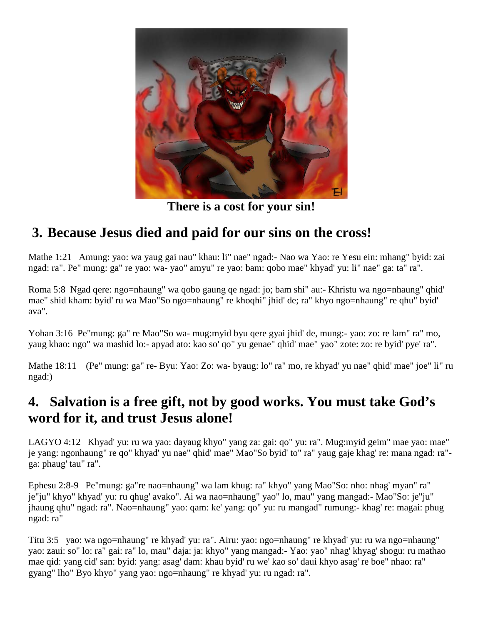

**There is a cost for your sin!**

## **3. Because Jesus died and paid for our sins on the cross!**

Mathe 1:21 Amung: yao: wa yaug gai nau" khau: li" nae" ngad:- Nao wa Yao: re Yesu ein: mhang" byid: zai ngad: ra". Pe" mung: ga" re yao: wa- yao" amyu" re yao: bam: qobo mae" khyad' yu: li" nae" ga: ta" ra".

Roma 5:8 Ngad qere: ngo=nhaung" wa qobo gaung qe ngad: jo; bam shi" au:- Khristu wa ngo=nhaung" qhid' mae" shid kham: byid' ru wa Mao"So ngo=nhaung" re khoqhi" jhid' de; ra" khyo ngo=nhaung" re qhu" byid' ava".

Yohan 3:16 Pe"mung: ga" re Mao"So wa- mug:myid byu qere gyai jhid' de, mung:- yao: zo: re lam" ra" mo, yaug khao: ngo" wa mashid lo:- apyad ato: kao so' qo" yu genae" qhid' mae" yao" zote: zo: re byid' pye' ra".

Mathe 18:11 (Pe" mung: ga" re- Byu: Yao: Zo: wa- byaug: lo" ra" mo, re khyad' yu nae" qhid' mae" joe" li" ru ngad:)

## **4. Salvation is a free gift, not by good works. You must take God's word for it, and trust Jesus alone!**

LAGYO 4:12 Khyad' yu: ru wa yao: dayaug khyo" yang za: gai: qo" yu: ra". Mug:myid geim" mae yao: mae" je yang: ngonhaung" re qo" khyad' yu nae" qhid' mae" Mao"So byid' to" ra" yaug gaje khag' re: mana ngad: ra" ga: phaug' tau" ra".

Ephesu 2:8-9 Pe"mung: ga"re nao=nhaung" wa lam khug: ra" khyo" yang Mao"So: nho: nhag' myan" ra" je"ju" khyo" khyad' yu: ru qhug' avako". Ai wa nao=nhaung" yao" lo, mau" yang mangad:- Mao"So: je"ju" jhaung qhu" ngad: ra". Nao=nhaung" yao: qam: ke' yang: qo" yu: ru mangad" rumung:- khag' re: magai: phug ngad: ra"

Titu 3:5 yao: wa ngo=nhaung" re khyad' yu: ra". Airu: yao: ngo=nhaung" re khyad' yu: ru wa ngo=nhaung" yao: zaui: so" lo: ra" gai: ra" lo, mau" daja: ja: khyo" yang mangad:- Yao: yao" nhag' khyag' shogu: ru mathao mae qid: yang cid' san: byid: yang: asag' dam: khau byid' ru we' kao so' daui khyo asag' re boe" nhao: ra" gyang" lho" Byo khyo" yang yao: ngo=nhaung" re khyad' yu: ru ngad: ra".